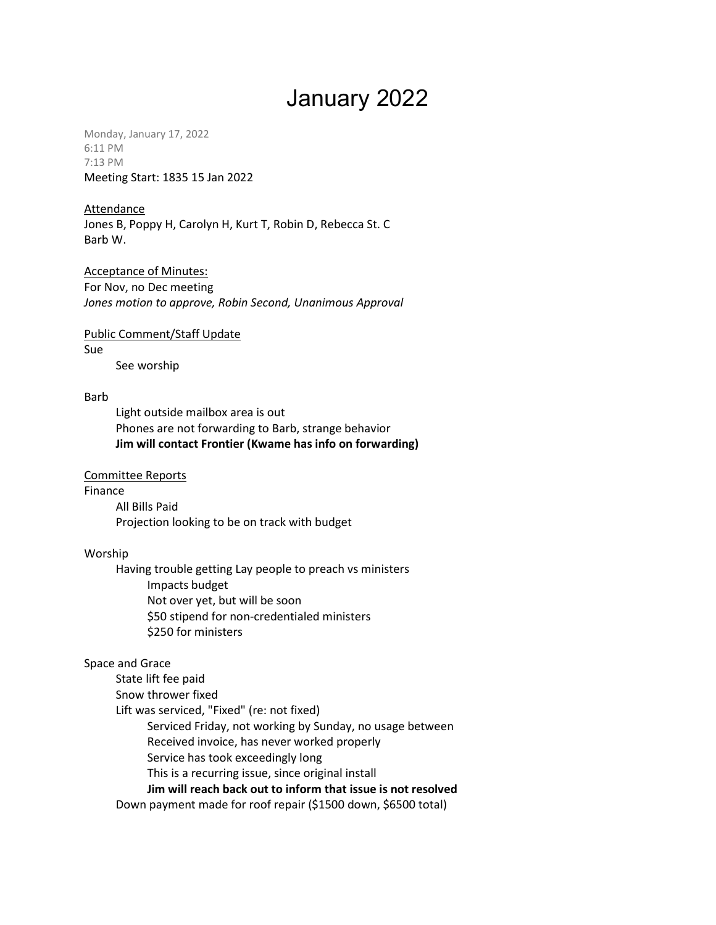# January 2022

Monday, January 17, 2022 6:11 PM 7:13 PM Meeting Start: 1835 15 Jan 2022

#### Attendance

Jones B, Poppy H, Carolyn H, Kurt T, Robin D, Rebecca St. C Barb W.

Acceptance of Minutes: For Nov, no Dec meeting Jones motion to approve, Robin Second, Unanimous Approval

Public Comment/Staff Update Sue See worship

Barb

Light outside mailbox area is out Phones are not forwarding to Barb, strange behavior Jim will contact Frontier (Kwame has info on forwarding)

#### Committee Reports

Finance

All Bills Paid Projection looking to be on track with budget

#### Worship

Having trouble getting Lay people to preach vs ministers Impacts budget Not over yet, but will be soon \$50 stipend for non-credentialed ministers \$250 for ministers

### Space and Grace

State lift fee paid

Snow thrower fixed

Lift was serviced, "Fixed" (re: not fixed)

Serviced Friday, not working by Sunday, no usage between

Received invoice, has never worked properly

Service has took exceedingly long

This is a recurring issue, since original install

Jim will reach back out to inform that issue is not resolved

Down payment made for roof repair (\$1500 down, \$6500 total)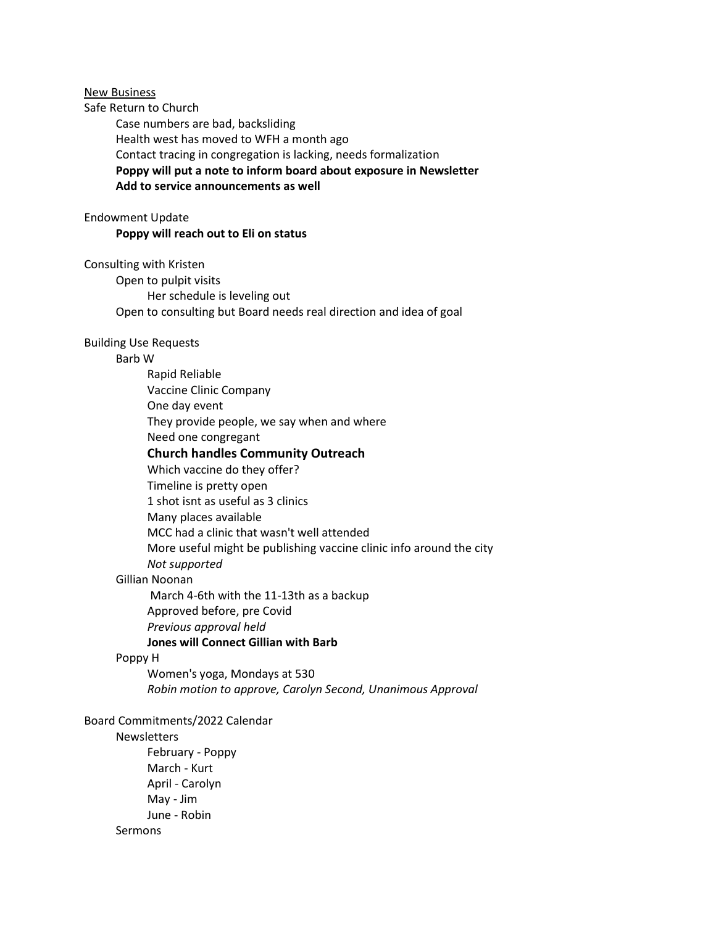New Business

Safe Return to Church

Case numbers are bad, backsliding Health west has moved to WFH a month ago Contact tracing in congregation is lacking, needs formalization Poppy will put a note to inform board about exposure in Newsletter Add to service announcements as well

#### Endowment Update

#### Poppy will reach out to Eli on status

Consulting with Kristen

Open to pulpit visits Her schedule is leveling out Open to consulting but Board needs real direction and idea of goal

#### Building Use Requests

#### Barb W

Rapid Reliable Vaccine Clinic Company One day event They provide people, we say when and where Need one congregant Church handles Community Outreach Which vaccine do they offer? Timeline is pretty open 1 shot isnt as useful as 3 clinics Many places available MCC had a clinic that wasn't well attended More useful might be publishing vaccine clinic info around the city Not supported Gillian Noonan March 4-6th with the 11-13th as a backup

Approved before, pre Covid Previous approval held Jones will Connect Gillian with Barb

#### Poppy H

Women's yoga, Mondays at 530 Robin motion to approve, Carolyn Second, Unanimous Approval

#### Board Commitments/2022 Calendar

## Newsletters

February - Poppy March - Kurt April - Carolyn May - Jim June - Robin Sermons